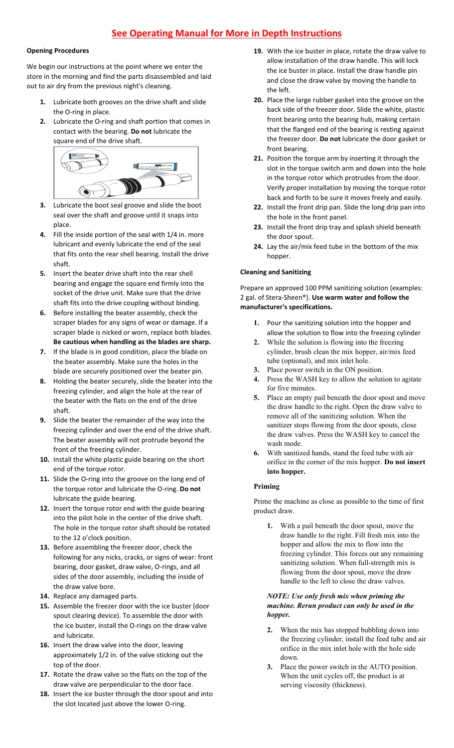# **See Operating Manual for More in Depth Instructions**

#### **Opening Procedures**

We begin our instructions at the point where we enter the store in the morning and find the parts disassembled and laid out to air dry from the previous night's cleaning.

- **1.** Lubricate both grooves on the drive shaft and slide the O-ring in place.
- **2.** Lubricate the O-ring and shaft portion that comes in contact with the bearing. **Do not** lubricate the square end of the drive shaft.



- **3.** Lubricate the boot seal groove and slide the boot seal over the shaft and groove until it snaps into place.
- **4.** Fill the inside portion of the seal with 1/4 in. more lubricant and evenly lubricate the end of the seal that fits onto the rear shell bearing. Install the drive shaft.
- **5.** Insert the beater drive shaft into the rear shell bearing and engage the square end firmly into the socket of the drive unit. Make sure that the drive shaft fits into the drive coupling without binding.
- **6.** Before installing the beater assembly, check the scraper blades for any signs of wear or damage. If a scraper blade is nicked or worn, replace both blades. **Be cautious when handling as the blades are sharp.**
- **7.** If the blade is in good condition, place the blade on the beater assembly. Make sure the holes in the blade are securely positioned over the beater pin.
- **8.** Holding the beater securely, slide the beater into the freezing cylinder, and align the hole at the rear of the beater with the flats on the end of the drive shaft.
- **9.** Slide the beater the remainder of the way into the freezing cylinder and over the end of the drive shaft. The beater assembly will not protrude beyond the front of the freezing cylinder.
- **10.** Install the white plastic guide bearing on the short end of the torque rotor.
- **11.** Slide the O-ring into the groove on the long end of the torque rotor and lubricate the O-ring. **Do not** lubricate the guide bearing.
- **12.** Insert the torque rotor end with the guide bearing into the pilot hole in the center of the drive shaft. The hole in the torque rotor shaft should be rotated to the 12 o'clock position.
- **13.** Before assembling the freezer door, check the following for any nicks, cracks, or signs of wear: front bearing, door gasket, draw valve, O-rings, and all sides of the door assembly, including the inside of the draw valve bore.
- **14.** Replace any damaged parts.
- **15.** Assemble the freezer door with the ice buster (door spout clearing device). To assemble the door with the ice buster, install the O-rings on the draw valve and lubricate.
- **16.** Insert the draw valve into the door, leaving approximately 1/2 in. of the valve sticking out the top of the door.
- **17.** Rotate the draw valve so the flats on the top of the draw valve are perpendicular to the door face.
- **18.** Insert the ice buster through the door spout and into the slot located just above the lower O-ring.
- **19.** With the ice buster in place, rotate the draw valve to allow installation of the draw handle. This will lock the ice buster in place. Install the draw handle pin and close the draw valve by moving the handle to the left.
- **20.** Place the large rubber gasket into the groove on the back side of the freezer door. Slide the white, plastic front bearing onto the bearing hub, making certain that the flanged end of the bearing is resting against the freezer door. **Do not** lubricate the door gasket or front bearing.
- **21.** Position the torque arm by inserting it through the slot in the torque switch arm and down into the hole in the torque rotor which protrudes from the door. Verify proper installation by moving the torque rotor back and forth to be sure it moves freely and easily.
- **22.** Install the front drip pan. Slide the long drip pan into the hole in the front panel.
- **23.** Install the front drip tray and splash shield beneath the door spout.
- **24.** Lay the air/mix feed tube in the bottom of the mix hopper.

### **Cleaning and Sanitizing**

Prepare an approved 100 PPM sanitizing solution (examples: 2 gal. of Stera-Sheen®). **Use warm water and follow the manufacturer's specifications.**

- **1.** Pour the sanitizing solution into the hopper and allow the solution to flow into the freezing cylinder
- **2.** While the solution is flowing into the freezing cylinder, brush clean the mix hopper, air/mix feed tube (optional), and mix inlet hole.
- **3.** Place power switch in the ON position.
- **4.** Press the WASH key to allow the solution to agitate for five minutes.
- **5.** Place an empty pail beneath the door spout and move the draw handle to the right. Open the draw valve to remove all of the sanitizing solution. When the sanitizer stops flowing from the door spouts, close the draw valves. Press the WASH key to cancel the wash mode.
- **6.** With sanitized hands, stand the feed tube with air orifice in the corner of the mix hopper. **Do not insert into hopper.**

## **Priming**

Prime the machine as close as possible to the time of first product draw.

**1.** With a pail beneath the door spout, move the draw handle to the right. Fill fresh mix into the hopper and allow the mix to flow into the freezing cylinder. This forces out any remaining sanitizing solution. When full-strength mix is flowing from the door spout, move the draw handle to the left to close the draw valves.

#### *NOTE: Use only fresh mix when priming the machine. Rerun product can only be used in the hopper.*

- **2.** When the mix has stopped bubbling down into the freezing cylinder, install the feed tube and air orifice in the mix inlet hole with the hole side down.
- **3.** Place the power switch in the AUTO position. When the unit cycles off, the product is at serving viscosity (thickness).